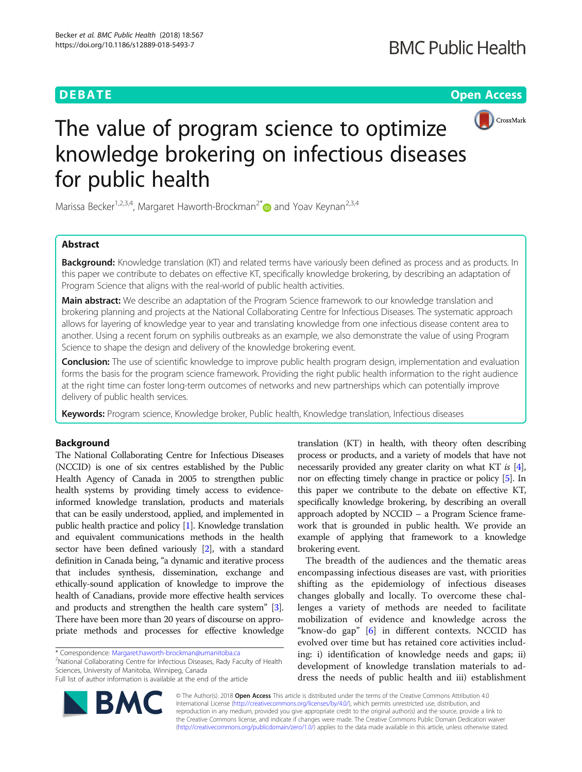**DEBATE CONSERVATION CONSERVATION CONSERVATION** 



# The value of program science to optimize knowledge brokering on infectious diseases for public health

Marissa Becker<sup>1,2,3,4</sup>, Margaret Haworth-Brockman<sup>2\*</sup> and Yoav Keynan<sup>2,3,4</sup>

# Abstract

Background: Knowledge translation (KT) and related terms have variously been defined as process and as products. In this paper we contribute to debates on effective KT, specifically knowledge brokering, by describing an adaptation of Program Science that aligns with the real-world of public health activities.

**Main abstract:** We describe an adaptation of the Program Science framework to our knowledge translation and brokering planning and projects at the National Collaborating Centre for Infectious Diseases. The systematic approach allows for layering of knowledge year to year and translating knowledge from one infectious disease content area to another. Using a recent forum on syphilis outbreaks as an example, we also demonstrate the value of using Program Science to shape the design and delivery of the knowledge brokering event.

Conclusion: The use of scientific knowledge to improve public health program design, implementation and evaluation forms the basis for the program science framework. Providing the right public health information to the right audience at the right time can foster long-term outcomes of networks and new partnerships which can potentially improve delivery of public health services.

Keywords: Program science, Knowledge broker, Public health, Knowledge translation, Infectious diseases

# Background

The National Collaborating Centre for Infectious Diseases (NCCID) is one of six centres established by the Public Health Agency of Canada in 2005 to strengthen public health systems by providing timely access to evidenceinformed knowledge translation, products and materials that can be easily understood, applied, and implemented in public health practice and policy [\[1\]](#page-3-0). Knowledge translation and equivalent communications methods in the health sector have been defined variously [\[2](#page-3-0)], with a standard definition in Canada being, "a dynamic and iterative process that includes synthesis, dissemination, exchange and ethically-sound application of knowledge to improve the health of Canadians, provide more effective health services and products and strengthen the health care system" [[3](#page-3-0)]. There have been more than 20 years of discourse on appropriate methods and processes for effective knowledge

\* Correspondence: [Margaret.haworth-brockman@umanitoba.ca](mailto:Margaret.haworth-brockman@umanitoba.ca) <sup>2</sup>

<sup>2</sup>National Collaborating Centre for Infectious Diseases, Rady Faculty of Health Sciences, University of Manitoba, Winnipeg, Canada

Full list of author information is available at the end of the article



The breadth of the audiences and the thematic areas encompassing infectious diseases are vast, with priorities shifting as the epidemiology of infectious diseases changes globally and locally. To overcome these challenges a variety of methods are needed to facilitate mobilization of evidence and knowledge across the "know-do gap" [\[6](#page-3-0)] in different contexts. NCCID has evolved over time but has retained core activities including: i) identification of knowledge needs and gaps; ii) development of knowledge translation materials to address the needs of public health and iii) establishment



© The Author(s). 2018 Open Access This article is distributed under the terms of the Creative Commons Attribution 4.0 International License [\(http://creativecommons.org/licenses/by/4.0/](http://creativecommons.org/licenses/by/4.0/)), which permits unrestricted use, distribution, and reproduction in any medium, provided you give appropriate credit to the original author(s) and the source, provide a link to the Creative Commons license, and indicate if changes were made. The Creative Commons Public Domain Dedication waiver [\(http://creativecommons.org/publicdomain/zero/1.0/](http://creativecommons.org/publicdomain/zero/1.0/)) applies to the data made available in this article, unless otherwise stated.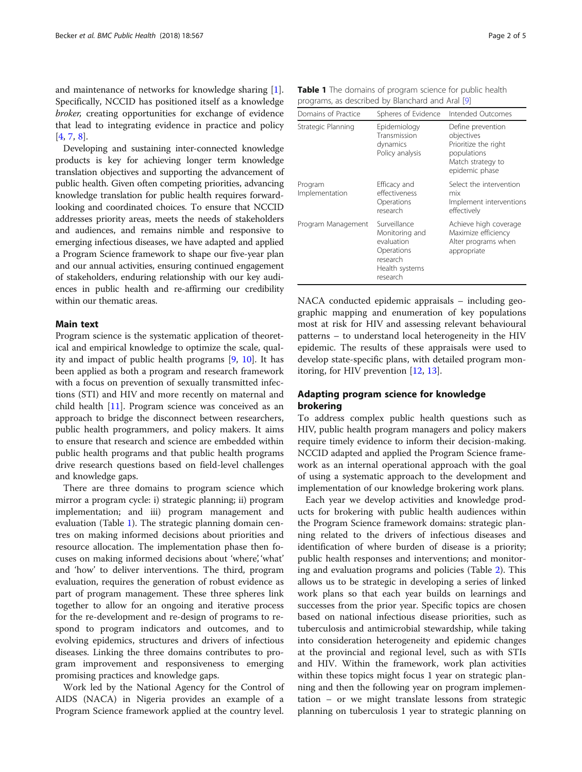and maintenance of networks for knowledge sharing [\[1](#page-3-0)]. Specifically, NCCID has positioned itself as a knowledge broker, creating opportunities for exchange of evidence that lead to integrating evidence in practice and policy [[4,](#page-3-0) [7,](#page-4-0) [8\]](#page-4-0).

Developing and sustaining inter-connected knowledge products is key for achieving longer term knowledge translation objectives and supporting the advancement of public health. Given often competing priorities, advancing knowledge translation for public health requires forwardlooking and coordinated choices. To ensure that NCCID addresses priority areas, meets the needs of stakeholders and audiences, and remains nimble and responsive to emerging infectious diseases, we have adapted and applied a Program Science framework to shape our five-year plan and our annual activities, ensuring continued engagement of stakeholders, enduring relationship with our key audiences in public health and re-affirming our credibility within our thematic areas.

# Main text

Program science is the systematic application of theoretical and empirical knowledge to optimize the scale, quality and impact of public health programs [[9,](#page-4-0) [10](#page-4-0)]. It has been applied as both a program and research framework with a focus on prevention of sexually transmitted infections (STI) and HIV and more recently on maternal and child health [\[11\]](#page-4-0). Program science was conceived as an approach to bridge the disconnect between researchers, public health programmers, and policy makers. It aims to ensure that research and science are embedded within public health programs and that public health programs drive research questions based on field-level challenges and knowledge gaps.

There are three domains to program science which mirror a program cycle: i) strategic planning; ii) program implementation; and iii) program management and evaluation (Table 1). The strategic planning domain centres on making informed decisions about priorities and resource allocation. The implementation phase then focuses on making informed decisions about 'where', 'what' and 'how' to deliver interventions. The third, program evaluation, requires the generation of robust evidence as part of program management. These three spheres link together to allow for an ongoing and iterative process for the re-development and re-design of programs to respond to program indicators and outcomes, and to evolving epidemics, structures and drivers of infectious diseases. Linking the three domains contributes to program improvement and responsiveness to emerging promising practices and knowledge gaps.

Work led by the National Agency for the Control of AIDS (NACA) in Nigeria provides an example of a Program Science framework applied at the country level. Table 1 The domains of program science for public health programs, as described by Blanchard and Aral [[9](#page-4-0)]

| Domains of Practice       | Spheres of Evidence                                                                                  | Intended Outcomes                                                                                             |
|---------------------------|------------------------------------------------------------------------------------------------------|---------------------------------------------------------------------------------------------------------------|
| Strategic Planning        | Epidemiology<br>Transmission<br>dynamics<br>Policy analysis                                          | Define prevention<br>objectives<br>Prioritize the right<br>populations<br>Match strategy to<br>epidemic phase |
| Program<br>Implementation | Efficacy and<br>effectiveness<br>Operations<br>research                                              | Select the intervention<br>mix<br>Implement interventions<br>effectively                                      |
| Program Management        | Surveillance<br>Monitoring and<br>evaluation<br>Operations<br>research<br>Health systems<br>research | Achieve high coverage<br>Maximize efficiency<br>Alter programs when<br>appropriate                            |

NACA conducted epidemic appraisals – including geographic mapping and enumeration of key populations most at risk for HIV and assessing relevant behavioural patterns – to understand local heterogeneity in the HIV epidemic. The results of these appraisals were used to develop state-specific plans, with detailed program monitoring, for HIV prevention [\[12](#page-4-0), [13](#page-4-0)].

# Adapting program science for knowledge brokering

To address complex public health questions such as HIV, public health program managers and policy makers require timely evidence to inform their decision-making. NCCID adapted and applied the Program Science framework as an internal operational approach with the goal of using a systematic approach to the development and implementation of our knowledge brokering work plans.

Each year we develop activities and knowledge products for brokering with public health audiences within the Program Science framework domains: strategic planning related to the drivers of infectious diseases and identification of where burden of disease is a priority; public health responses and interventions; and monitoring and evaluation programs and policies (Table [2\)](#page-2-0). This allows us to be strategic in developing a series of linked work plans so that each year builds on learnings and successes from the prior year. Specific topics are chosen based on national infectious disease priorities, such as tuberculosis and antimicrobial stewardship, while taking into consideration heterogeneity and epidemic changes at the provincial and regional level, such as with STIs and HIV. Within the framework, work plan activities within these topics might focus 1 year on strategic planning and then the following year on program implementation – or we might translate lessons from strategic planning on tuberculosis 1 year to strategic planning on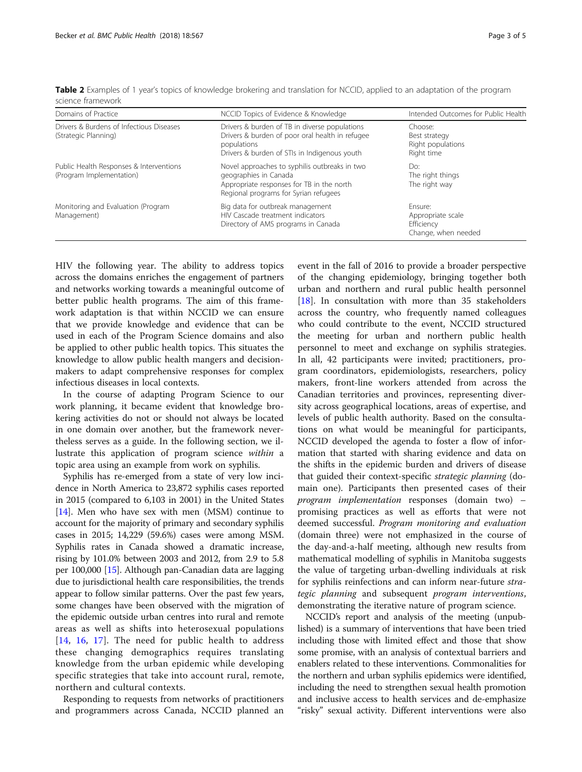<span id="page-2-0"></span>Table 2 Examples of 1 year's topics of knowledge brokering and translation for NCCID, applied to an adaptation of the program science framework

| Domains of Practice                                                 | NCCID Topics of Evidence & Knowledge                                                                                                                            | Intended Outcomes for Public Health                               |
|---------------------------------------------------------------------|-----------------------------------------------------------------------------------------------------------------------------------------------------------------|-------------------------------------------------------------------|
| Drivers & Burdens of Infectious Diseases<br>(Strategic Planning)    | Drivers & burden of TB in diverse populations<br>Drivers & burden of poor oral health in refugee<br>populations<br>Drivers & burden of STIs in Indigenous youth | Choose:<br>Best strategy<br>Right populations<br>Right time       |
| Public Health Responses & Interventions<br>(Program Implementation) | Novel approaches to syphilis outbreaks in two<br>geographies in Canada<br>Appropriate responses for TB in the north<br>Regional programs for Syrian refugees    | Do:<br>The right things<br>The right way                          |
| Monitoring and Evaluation (Program<br>Management)                   | Big data for outbreak management<br>HIV Cascade treatment indicators<br>Directory of AMS programs in Canada                                                     | Fnsure:<br>Appropriate scale<br>Efficiency<br>Change, when needed |

HIV the following year. The ability to address topics across the domains enriches the engagement of partners and networks working towards a meaningful outcome of better public health programs. The aim of this framework adaptation is that within NCCID we can ensure that we provide knowledge and evidence that can be used in each of the Program Science domains and also be applied to other public health topics. This situates the knowledge to allow public health mangers and decisionmakers to adapt comprehensive responses for complex infectious diseases in local contexts.

In the course of adapting Program Science to our work planning, it became evident that knowledge brokering activities do not or should not always be located in one domain over another, but the framework nevertheless serves as a guide. In the following section, we illustrate this application of program science within a topic area using an example from work on syphilis.

Syphilis has re-emerged from a state of very low incidence in North America to 23,872 syphilis cases reported in 2015 (compared to 6,103 in 2001) in the United States [[14](#page-4-0)]. Men who have sex with men (MSM) continue to account for the majority of primary and secondary syphilis cases in 2015; 14,229 (59.6%) cases were among MSM. Syphilis rates in Canada showed a dramatic increase, rising by 101.0% between 2003 and 2012, from 2.9 to 5.8 per 100,000 [[15](#page-4-0)]. Although pan-Canadian data are lagging due to jurisdictional health care responsibilities, the trends appear to follow similar patterns. Over the past few years, some changes have been observed with the migration of the epidemic outside urban centres into rural and remote areas as well as shifts into heterosexual populations [[14](#page-4-0), [16](#page-4-0), [17\]](#page-4-0). The need for public health to address these changing demographics requires translating knowledge from the urban epidemic while developing specific strategies that take into account rural, remote, northern and cultural contexts.

Responding to requests from networks of practitioners and programmers across Canada, NCCID planned an event in the fall of 2016 to provide a broader perspective of the changing epidemiology, bringing together both urban and northern and rural public health personnel [[18\]](#page-4-0). In consultation with more than 35 stakeholders across the country, who frequently named colleagues who could contribute to the event, NCCID structured the meeting for urban and northern public health personnel to meet and exchange on syphilis strategies. In all, 42 participants were invited; practitioners, program coordinators, epidemiologists, researchers, policy makers, front-line workers attended from across the Canadian territories and provinces, representing diversity across geographical locations, areas of expertise, and levels of public health authority. Based on the consultations on what would be meaningful for participants, NCCID developed the agenda to foster a flow of information that started with sharing evidence and data on the shifts in the epidemic burden and drivers of disease that guided their context-specific strategic planning (domain one). Participants then presented cases of their program implementation responses (domain two) – promising practices as well as efforts that were not deemed successful. Program monitoring and evaluation (domain three) were not emphasized in the course of the day-and-a-half meeting, although new results from mathematical modelling of syphilis in Manitoba suggests the value of targeting urban-dwelling individuals at risk for syphilis reinfections and can inform near-future strategic planning and subsequent program interventions, demonstrating the iterative nature of program science.

NCCID's report and analysis of the meeting (unpublished) is a summary of interventions that have been tried including those with limited effect and those that show some promise, with an analysis of contextual barriers and enablers related to these interventions. Commonalities for the northern and urban syphilis epidemics were identified, including the need to strengthen sexual health promotion and inclusive access to health services and de-emphasize "risky" sexual activity. Different interventions were also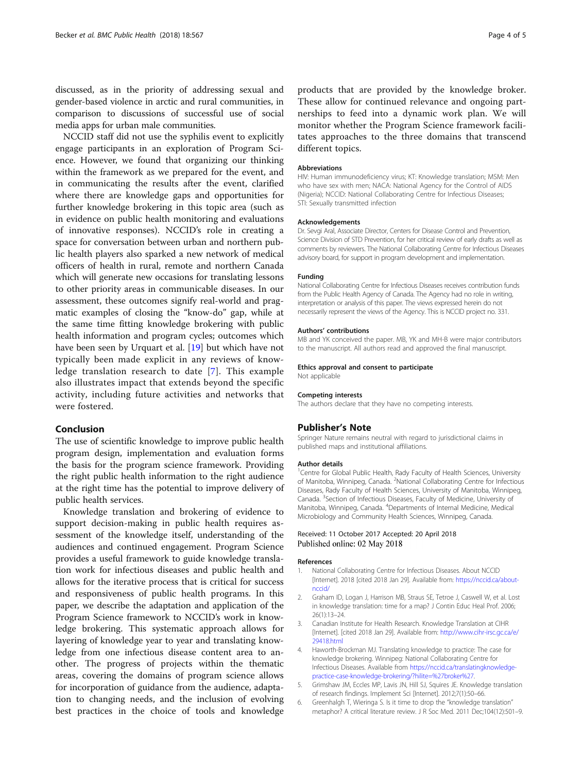<span id="page-3-0"></span>discussed, as in the priority of addressing sexual and gender-based violence in arctic and rural communities, in comparison to discussions of successful use of social media apps for urban male communities.

NCCID staff did not use the syphilis event to explicitly engage participants in an exploration of Program Science. However, we found that organizing our thinking within the framework as we prepared for the event, and in communicating the results after the event, clarified where there are knowledge gaps and opportunities for further knowledge brokering in this topic area (such as in evidence on public health monitoring and evaluations of innovative responses). NCCID's role in creating a space for conversation between urban and northern public health players also sparked a new network of medical officers of health in rural, remote and northern Canada which will generate new occasions for translating lessons to other priority areas in communicable diseases. In our assessment, these outcomes signify real-world and pragmatic examples of closing the "know-do" gap, while at the same time fitting knowledge brokering with public health information and program cycles; outcomes which have been seen by Urquart et al. [\[19](#page-4-0)] but which have not typically been made explicit in any reviews of knowledge translation research to date [[7\]](#page-4-0). This example also illustrates impact that extends beyond the specific activity, including future activities and networks that were fostered.

# Conclusion

The use of scientific knowledge to improve public health program design, implementation and evaluation forms the basis for the program science framework. Providing the right public health information to the right audience at the right time has the potential to improve delivery of public health services.

Knowledge translation and brokering of evidence to support decision-making in public health requires assessment of the knowledge itself, understanding of the audiences and continued engagement. Program Science provides a useful framework to guide knowledge translation work for infectious diseases and public health and allows for the iterative process that is critical for success and responsiveness of public health programs. In this paper, we describe the adaptation and application of the Program Science framework to NCCID's work in knowledge brokering. This systematic approach allows for layering of knowledge year to year and translating knowledge from one infectious disease content area to another. The progress of projects within the thematic areas, covering the domains of program science allows for incorporation of guidance from the audience, adaptation to changing needs, and the inclusion of evolving best practices in the choice of tools and knowledge products that are provided by the knowledge broker. These allow for continued relevance and ongoing partnerships to feed into a dynamic work plan. We will monitor whether the Program Science framework facilitates approaches to the three domains that transcend different topics.

#### **Abbreviations**

HIV: Human immunodeficiency virus; KT: Knowledge translation; MSM: Men who have sex with men; NACA: National Agency for the Control of AIDS (Nigeria); NCCID: National Collaborating Centre for Infectious Diseases; STI: Sexually transmitted infection

#### Acknowledgements

Dr. Sevgi Aral, Associate Director, Centers for Disease Control and Prevention, Science Division of STD Prevention, for her critical review of early drafts as well as comments by reviewers. The National Collaborating Centre for Infectious Diseases advisory board, for support in program development and implementation.

#### Funding

National Collaborating Centre for Infectious Diseases receives contribution funds from the Public Health Agency of Canada. The Agency had no role in writing, interpretation or analysis of this paper. The views expressed herein do not necessarily represent the views of the Agency. This is NCCID project no. 331.

#### Authors' contributions

MB and YK conceived the paper. MB, YK and MH-B were major contributors to the manuscript. All authors read and approved the final manuscript.

#### Ethics approval and consent to participate

Not applicable

#### Competing interests

The authors declare that they have no competing interests.

# Publisher's Note

Springer Nature remains neutral with regard to jurisdictional claims in published maps and institutional affiliations.

#### Author details

<sup>1</sup> Centre for Global Public Health, Rady Faculty of Health Sciences, University of Manitoba, Winnipeg, Canada. <sup>2</sup>National Collaborating Centre for Infectious Diseases, Rady Faculty of Health Sciences, University of Manitoba, Winnipeg, Canada. <sup>3</sup>Section of Infectious Diseases, Faculty of Medicine, University of Manitoba, Winnipeg, Canada. <sup>4</sup> Departments of Internal Medicine, Medical Microbiology and Community Health Sciences, Winnipeg, Canada.

# Received: 11 October 2017 Accepted: 20 April 2018 Published online: 02 May 2018

#### References

- 1. National Collaborating Centre for Infectious Diseases. About NCCID [Internet]. 2018 [cited 2018 Jan 29]. Available from: [https://nccid.ca/about](https://nccid.ca/about-nccid/)[nccid/](https://nccid.ca/about-nccid/)
- 2. Graham ID, Logan J, Harrison MB, Straus SE, Tetroe J, Caswell W, et al. Lost in knowledge translation: time for a map? J Contin Educ Heal Prof. 2006; 26(1):13–24.
- 3. Canadian Institute for Health Research. Knowledge Translation at CIHR [Internet]. [cited 2018 Jan 29]. Available from: [http://www.cihr-irsc.gc.ca/e/](http://www.cihr-irsc.gc.ca/e/29418.html) [29418.html](http://www.cihr-irsc.gc.ca/e/29418.html)
- 4. Haworth-Brockman MJ. Translating knowledge to practice: The case for knowledge brokering. Winnipeg: National Collaborating Centre for Infectious Diseases. Available from [https://nccid.ca/translatingknowledge](https://nccid.ca/translatingknowledge-practice-case-knowledge-brokering/?hilite=%27broker%27)[practice-case-knowledge-brokering/?hilite=%27broker%27](https://nccid.ca/translatingknowledge-practice-case-knowledge-brokering/?hilite=%27broker%27).
- 5. Grimshaw JM, Eccles MP, Lavis JN, Hill SJ, Squires JE. Knowledge translation of research findings. Implement Sci [Internet]. 2012;7(1):50–66.
- 6. Greenhalgh T, Wieringa S. Is it time to drop the "knowledge translation" metaphor? A critical literature review. J R Soc Med. 2011 Dec;104(12):501–9.